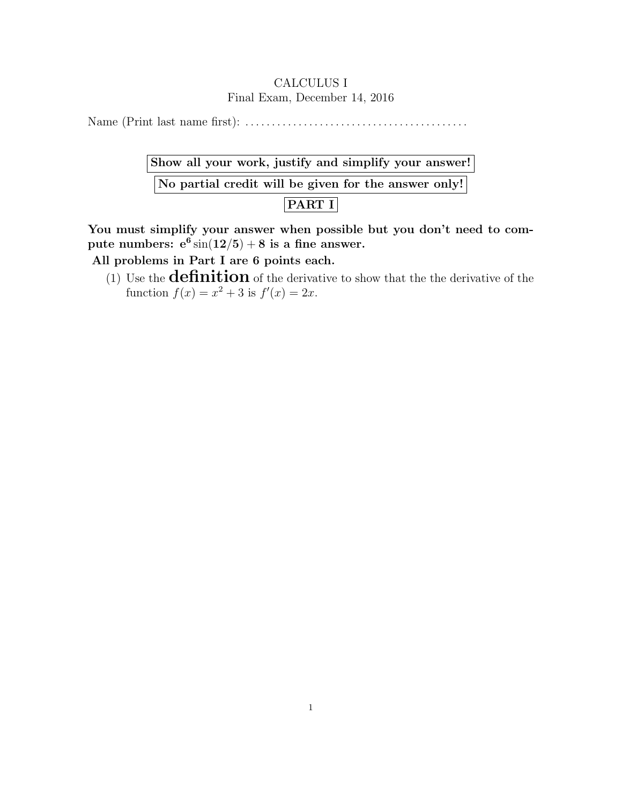## CALCULUS I Final Exam, December 14, 2016

Name (Print last name first): . . . . . . . . . . . . . . . . . . . . . . . . . . . . . . . . . . . . . . . . . .

| Show all your work, justify and simplify your answer! |  |
|-------------------------------------------------------|--|
| No partial credit will be given for the answer only!  |  |
| PART I                                                |  |

You must simplify your answer when possible but you don't need to compute numbers:  $e^6 \sin(12/5) + 8$  is a fine answer.

All problems in Part I are 6 points each.

(1) Use the **definition** of the derivative to show that the the derivative of the function  $f(x) = x^2 + 3$  is  $f'(x) = 2x$ .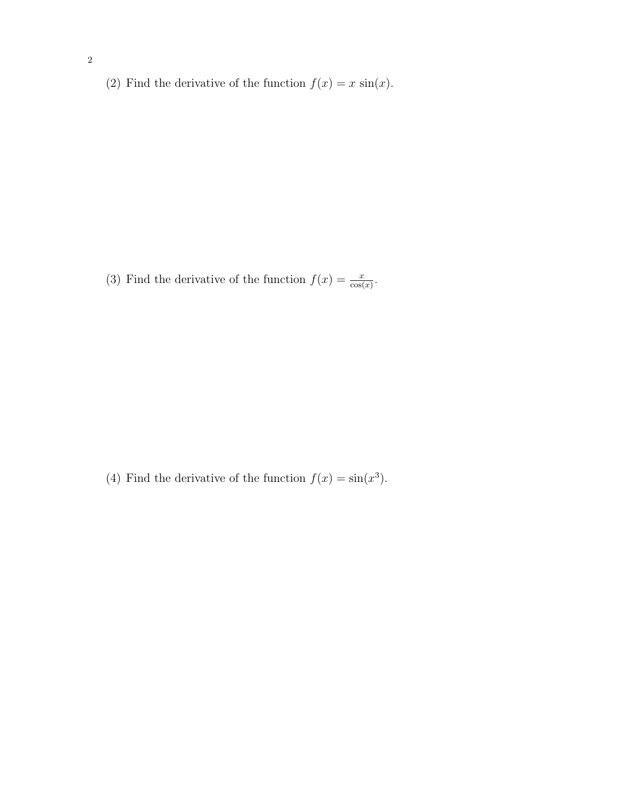(2) Find the derivative of the function  $f(x) = x \sin(x)$ .

(3) Find the derivative of the function  $f(x) = \frac{x}{\cos(x)}$ .

(4) Find the derivative of the function  $f(x) = \sin(x^3)$ .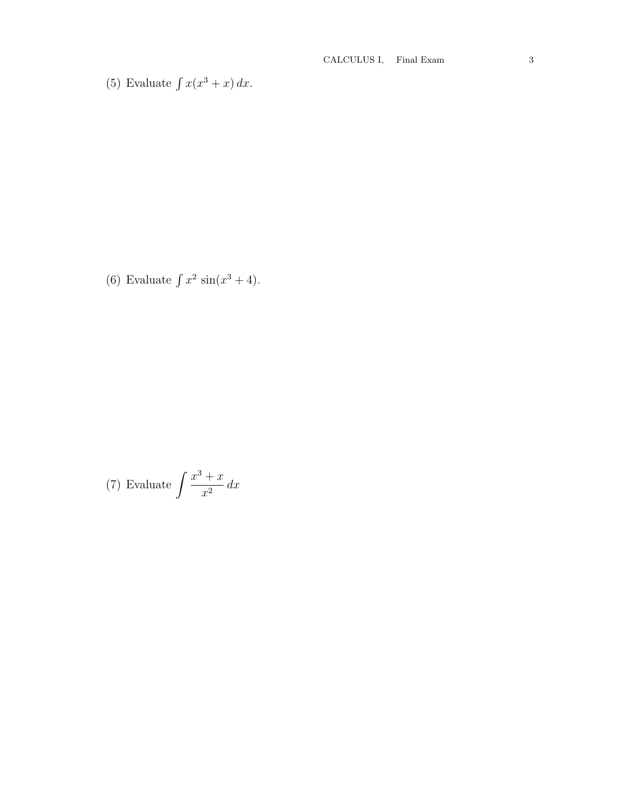(5) Evaluate  $\int x(x^3 + x) dx$ .

(6) Evaluate  $\int x^2 \sin(x^3 + 4)$ .

(7) Evaluate 
$$
\int \frac{x^3 + x}{x^2} dx
$$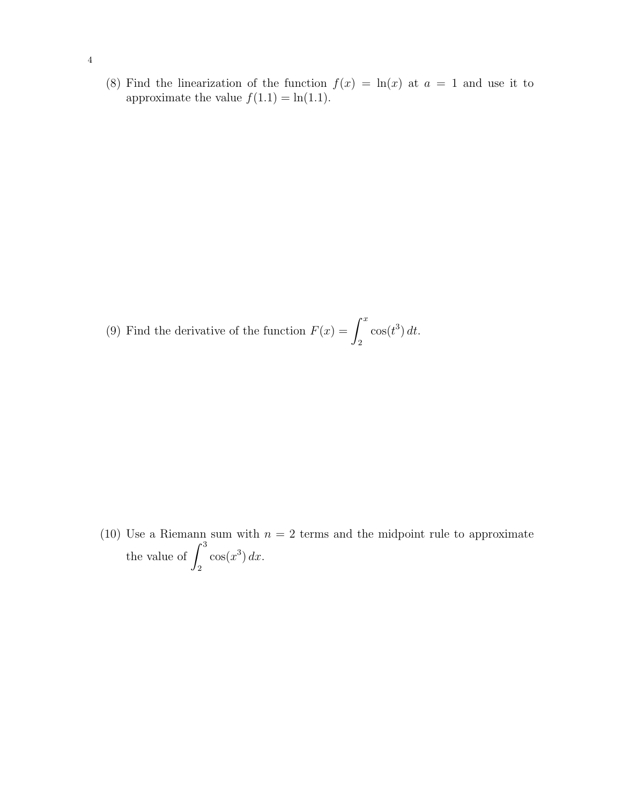(8) Find the linearization of the function  $f(x) = \ln(x)$  at  $a = 1$  and use it to approximate the value  $f(1.1) = \ln(1.1)$ .

(9) Find the derivative of the function  $F(x) = \int^x$ 2  $\cos(t^3) dt$ .

(10) Use a Riemann sum with  $n = 2$  terms and the midpoint rule to approximate the value of  $\int_0^3$ 2  $\cos(x^3) dx$ .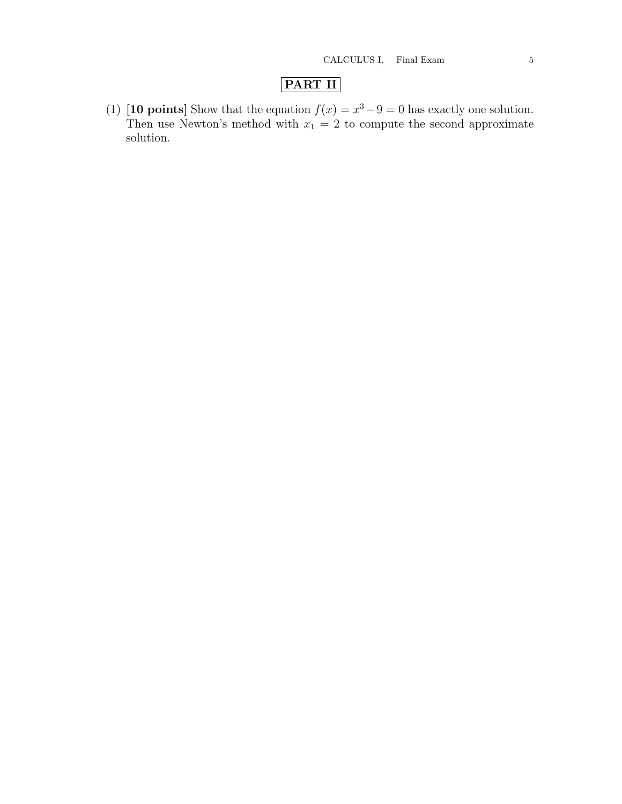## PART II

(1) [10 points] Show that the equation  $f(x) = x^3 - 9 = 0$  has exactly one solution. Then use Newton's method with  $x_1 = 2$  to compute the second approximate solution.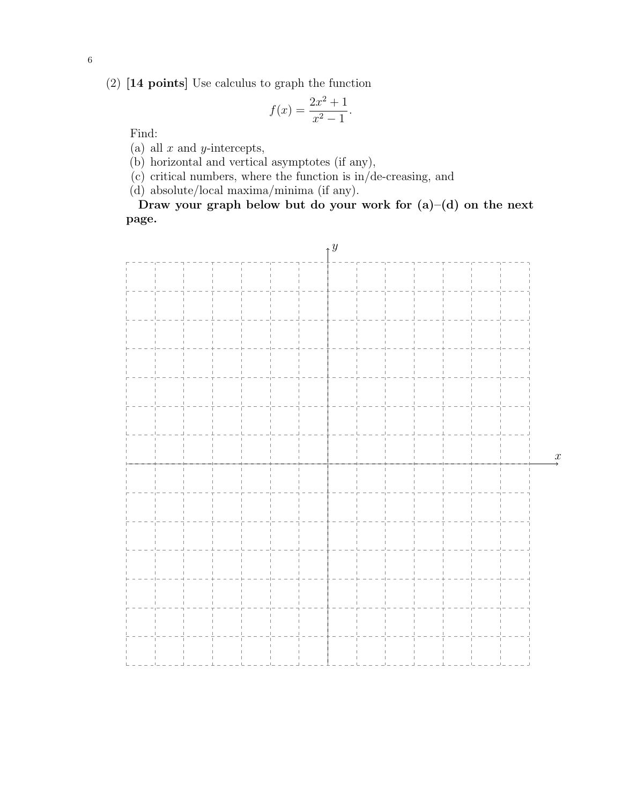(2) [14 points] Use calculus to graph the function

$$
f(x) = \frac{2x^2 + 1}{x^2 - 1}.
$$

Find:

(a) all  $x$  and  $y$ -intercepts,

(b) horizontal and vertical asymptotes (if any),

(c) critical numbers, where the function is in/de-creasing, and

(d) absolute/local maxima/minima (if any).

Draw your graph below but do your work for  $(a)$ – $(d)$  on the next page.

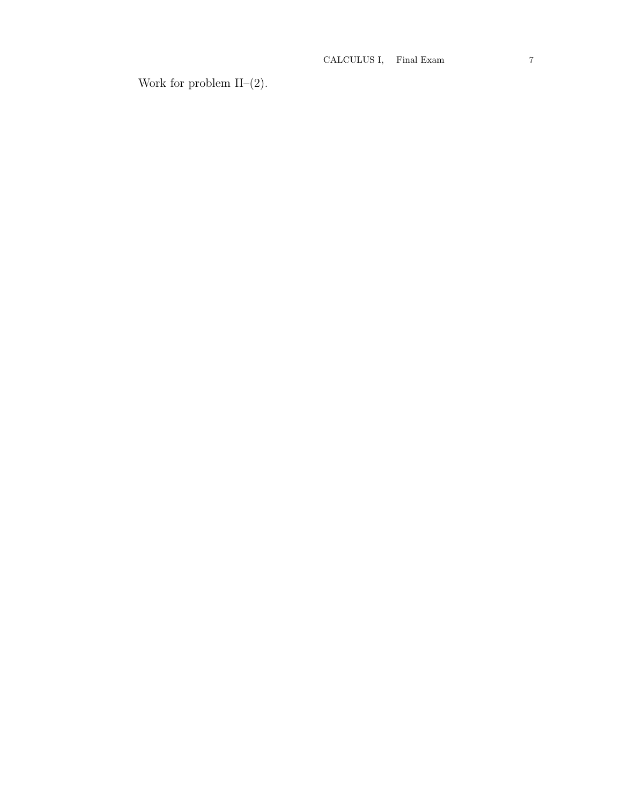Work for problem II– $(2)$ .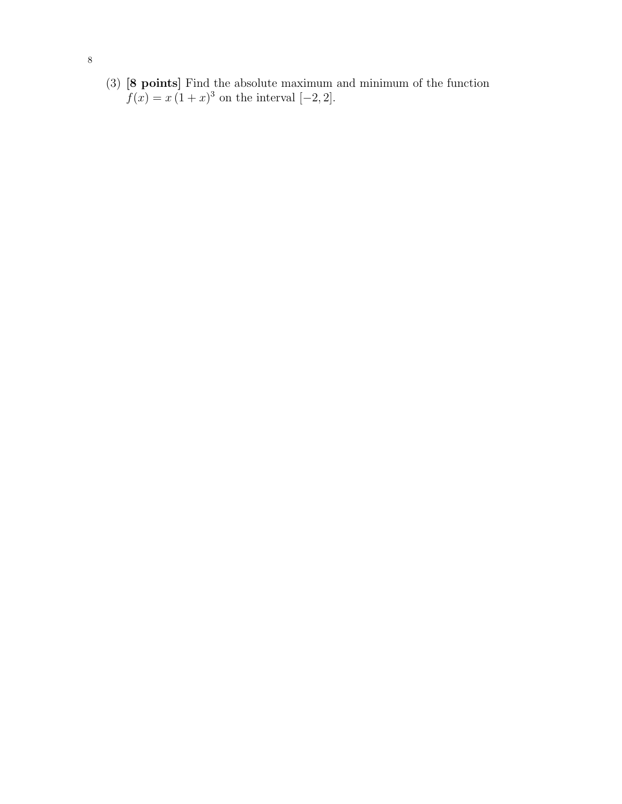(3) [8 points] Find the absolute maximum and minimum of the function  $f(x) = x(1+x)^3$  on the interval [-2, 2].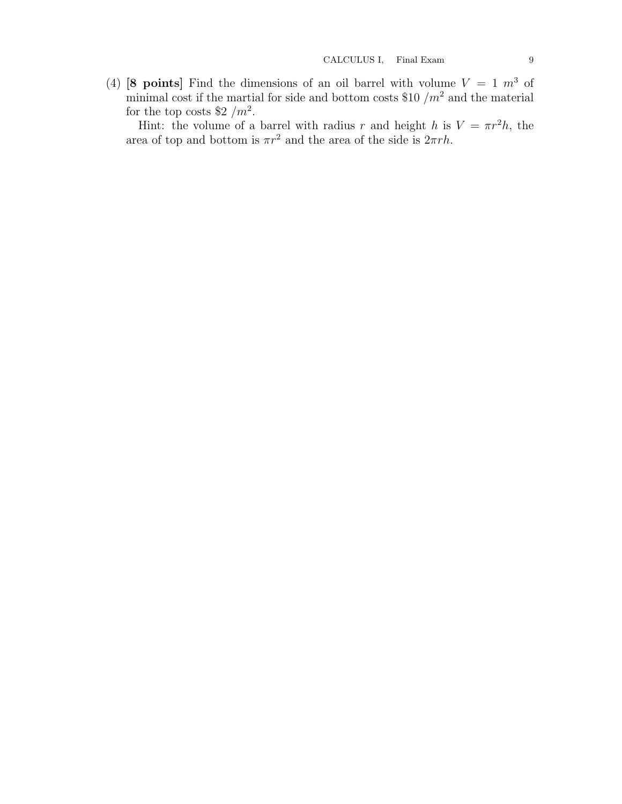(4) [8 points] Find the dimensions of an oil barrel with volume  $V = 1$   $m<sup>3</sup>$  of minimal cost if the martial for side and bottom costs \$10  $/m<sup>2</sup>$  and the material for the top costs \$2  $/m^2$ .

Hint: the volume of a barrel with radius r and height h is  $V = \pi r^2 h$ , the area of top and bottom is  $\pi r^2$  and the area of the side is  $2\pi rh$ .